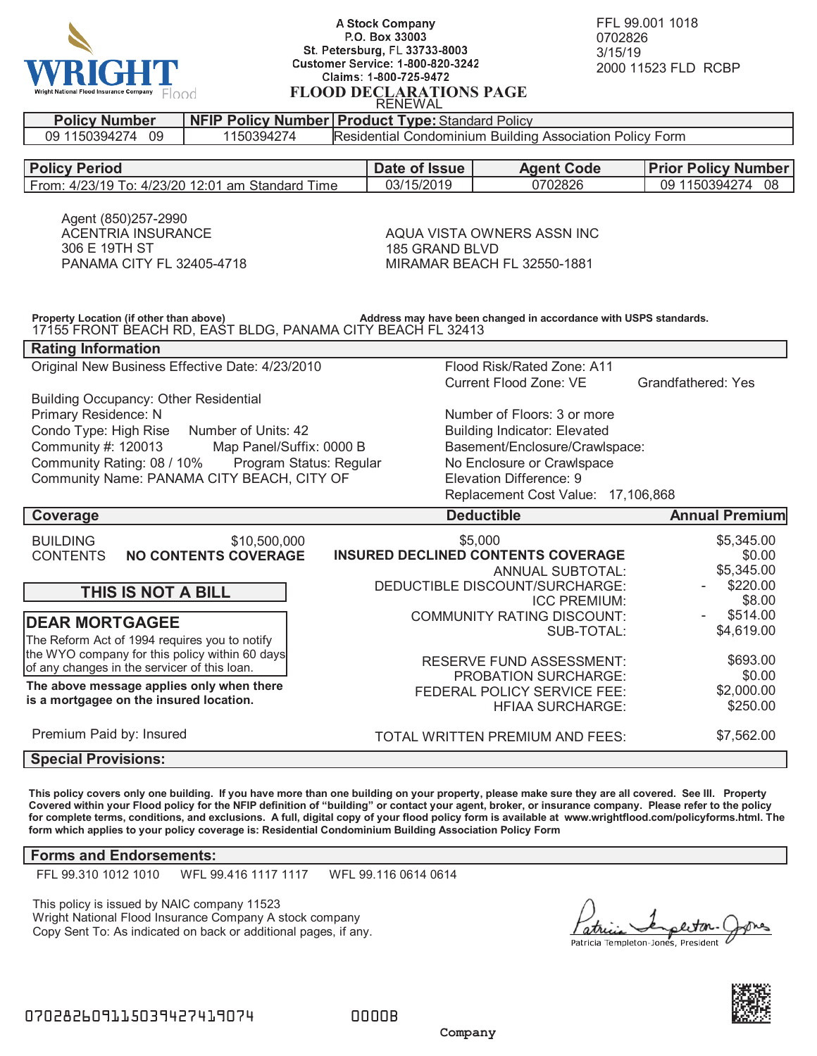

## **A Stock Company** P.O. Box 33003 St. Petersburg, FL 33733-8003 **Customer Service: 1-800-820-3242** Claims: 1-800-725-9472 **FLOOD DECLARATIONS PAGE** RENEWAL

FFL 99.001 1018 0702826 3/15/19 2000 11523 FLD RCBP

| <b>Policy Period</b><br>Date of Issue<br><b>Agent Code</b><br><b>Prior Policy Number</b><br>03/15/2019<br>0702826<br>From: 4/23/19 To: 4/23/20 12:01 am Standard Time<br>09 1150394274 08<br>Agent (850)257-2990<br><b>ACENTRIA INSURANCE</b><br>AQUA VISTA OWNERS ASSN INC<br>306 E 19TH ST<br>185 GRAND BLVD<br>PANAMA CITY FL 32405-4718<br>MIRAMAR BEACH FL 32550-1881<br>Property Location (if other than above)<br>Address may have been changed in accordance with USPS standards.<br>17155 FRONT BEACH RD, EAST BLDG, PANAMA CITY BEACH FL 32413<br><b>Rating Information</b><br>Original New Business Effective Date: 4/23/2010<br>Flood Risk/Rated Zone: A11<br>Current Flood Zone: VE<br>Grandfathered: Yes<br><b>Building Occupancy: Other Residential</b><br>Primary Residence: N<br>Number of Floors: 3 or more<br>Condo Type: High Rise<br>Number of Units: 42<br><b>Building Indicator: Elevated</b><br>Community #: 120013<br>Basement/Enclosure/Crawlspace:<br>Map Panel/Suffix: 0000 B<br>Community Rating: 08 / 10%<br>Program Status: Regular<br>No Enclosure or Crawlspace<br>Community Name: PANAMA CITY BEACH, CITY OF<br>Elevation Difference: 9<br>Replacement Cost Value: 17,106,868<br><b>Deductible</b><br><b>Annual Premium</b><br>Coverage<br>\$5,000<br>\$5,345.00<br><b>BUILDING</b><br>\$10,500,000<br><b>CONTENTS</b><br><b>INSURED DECLINED CONTENTS COVERAGE</b><br>\$0.00<br><b>NO CONTENTS COVERAGE</b><br>\$5,345.00<br><b>ANNUAL SUBTOTAL:</b><br>\$220.00<br>DEDUCTIBLE DISCOUNT/SURCHARGE:<br>THIS IS NOT A BILL<br>\$8.00<br><b>ICC PREMIUM:</b><br>\$514.00<br><b>COMMUNITY RATING DISCOUNT:</b><br><b>DEAR MORTGAGEE</b><br>\$4,619.00<br>SUB-TOTAL:<br>The Reform Act of 1994 requires you to notify<br>the WYO company for this policy within 60 days<br>\$693.00<br><b>RESERVE FUND ASSESSMENT:</b><br>of any changes in the servicer of this loan.<br>\$0.00<br>PROBATION SURCHARGE:<br>The above message applies only when there<br>\$2,000.00<br>FEDERAL POLICY SERVICE FEE:<br>is a mortgagee on the insured location.<br>\$250.00<br><b>HFIAA SURCHARGE:</b><br>Premium Paid by: Insured<br>\$7,562.00<br>TOTAL WRITTEN PREMIUM AND FEES:<br><b>Special Provisions:</b> | <b>Policy Number</b> | <b>NFIP Policy Number Product Type: Standard Policy</b>                |  |  |  |  |
|-------------------------------------------------------------------------------------------------------------------------------------------------------------------------------------------------------------------------------------------------------------------------------------------------------------------------------------------------------------------------------------------------------------------------------------------------------------------------------------------------------------------------------------------------------------------------------------------------------------------------------------------------------------------------------------------------------------------------------------------------------------------------------------------------------------------------------------------------------------------------------------------------------------------------------------------------------------------------------------------------------------------------------------------------------------------------------------------------------------------------------------------------------------------------------------------------------------------------------------------------------------------------------------------------------------------------------------------------------------------------------------------------------------------------------------------------------------------------------------------------------------------------------------------------------------------------------------------------------------------------------------------------------------------------------------------------------------------------------------------------------------------------------------------------------------------------------------------------------------------------------------------------------------------------------------------------------------------------------------------------------------------------------------------------------------------------------------------------------------------------------------------------------------------------------------------------------------------------------|----------------------|------------------------------------------------------------------------|--|--|--|--|
|                                                                                                                                                                                                                                                                                                                                                                                                                                                                                                                                                                                                                                                                                                                                                                                                                                                                                                                                                                                                                                                                                                                                                                                                                                                                                                                                                                                                                                                                                                                                                                                                                                                                                                                                                                                                                                                                                                                                                                                                                                                                                                                                                                                                                               | 09 1150394274 09     | Residential Condominium Building Association Policy Form<br>1150394274 |  |  |  |  |
|                                                                                                                                                                                                                                                                                                                                                                                                                                                                                                                                                                                                                                                                                                                                                                                                                                                                                                                                                                                                                                                                                                                                                                                                                                                                                                                                                                                                                                                                                                                                                                                                                                                                                                                                                                                                                                                                                                                                                                                                                                                                                                                                                                                                                               |                      |                                                                        |  |  |  |  |
|                                                                                                                                                                                                                                                                                                                                                                                                                                                                                                                                                                                                                                                                                                                                                                                                                                                                                                                                                                                                                                                                                                                                                                                                                                                                                                                                                                                                                                                                                                                                                                                                                                                                                                                                                                                                                                                                                                                                                                                                                                                                                                                                                                                                                               |                      |                                                                        |  |  |  |  |
|                                                                                                                                                                                                                                                                                                                                                                                                                                                                                                                                                                                                                                                                                                                                                                                                                                                                                                                                                                                                                                                                                                                                                                                                                                                                                                                                                                                                                                                                                                                                                                                                                                                                                                                                                                                                                                                                                                                                                                                                                                                                                                                                                                                                                               |                      |                                                                        |  |  |  |  |
|                                                                                                                                                                                                                                                                                                                                                                                                                                                                                                                                                                                                                                                                                                                                                                                                                                                                                                                                                                                                                                                                                                                                                                                                                                                                                                                                                                                                                                                                                                                                                                                                                                                                                                                                                                                                                                                                                                                                                                                                                                                                                                                                                                                                                               |                      |                                                                        |  |  |  |  |
|                                                                                                                                                                                                                                                                                                                                                                                                                                                                                                                                                                                                                                                                                                                                                                                                                                                                                                                                                                                                                                                                                                                                                                                                                                                                                                                                                                                                                                                                                                                                                                                                                                                                                                                                                                                                                                                                                                                                                                                                                                                                                                                                                                                                                               |                      |                                                                        |  |  |  |  |
|                                                                                                                                                                                                                                                                                                                                                                                                                                                                                                                                                                                                                                                                                                                                                                                                                                                                                                                                                                                                                                                                                                                                                                                                                                                                                                                                                                                                                                                                                                                                                                                                                                                                                                                                                                                                                                                                                                                                                                                                                                                                                                                                                                                                                               |                      |                                                                        |  |  |  |  |
|                                                                                                                                                                                                                                                                                                                                                                                                                                                                                                                                                                                                                                                                                                                                                                                                                                                                                                                                                                                                                                                                                                                                                                                                                                                                                                                                                                                                                                                                                                                                                                                                                                                                                                                                                                                                                                                                                                                                                                                                                                                                                                                                                                                                                               |                      |                                                                        |  |  |  |  |
|                                                                                                                                                                                                                                                                                                                                                                                                                                                                                                                                                                                                                                                                                                                                                                                                                                                                                                                                                                                                                                                                                                                                                                                                                                                                                                                                                                                                                                                                                                                                                                                                                                                                                                                                                                                                                                                                                                                                                                                                                                                                                                                                                                                                                               |                      |                                                                        |  |  |  |  |
|                                                                                                                                                                                                                                                                                                                                                                                                                                                                                                                                                                                                                                                                                                                                                                                                                                                                                                                                                                                                                                                                                                                                                                                                                                                                                                                                                                                                                                                                                                                                                                                                                                                                                                                                                                                                                                                                                                                                                                                                                                                                                                                                                                                                                               |                      |                                                                        |  |  |  |  |
|                                                                                                                                                                                                                                                                                                                                                                                                                                                                                                                                                                                                                                                                                                                                                                                                                                                                                                                                                                                                                                                                                                                                                                                                                                                                                                                                                                                                                                                                                                                                                                                                                                                                                                                                                                                                                                                                                                                                                                                                                                                                                                                                                                                                                               |                      |                                                                        |  |  |  |  |
|                                                                                                                                                                                                                                                                                                                                                                                                                                                                                                                                                                                                                                                                                                                                                                                                                                                                                                                                                                                                                                                                                                                                                                                                                                                                                                                                                                                                                                                                                                                                                                                                                                                                                                                                                                                                                                                                                                                                                                                                                                                                                                                                                                                                                               |                      |                                                                        |  |  |  |  |
|                                                                                                                                                                                                                                                                                                                                                                                                                                                                                                                                                                                                                                                                                                                                                                                                                                                                                                                                                                                                                                                                                                                                                                                                                                                                                                                                                                                                                                                                                                                                                                                                                                                                                                                                                                                                                                                                                                                                                                                                                                                                                                                                                                                                                               |                      |                                                                        |  |  |  |  |
|                                                                                                                                                                                                                                                                                                                                                                                                                                                                                                                                                                                                                                                                                                                                                                                                                                                                                                                                                                                                                                                                                                                                                                                                                                                                                                                                                                                                                                                                                                                                                                                                                                                                                                                                                                                                                                                                                                                                                                                                                                                                                                                                                                                                                               |                      |                                                                        |  |  |  |  |
|                                                                                                                                                                                                                                                                                                                                                                                                                                                                                                                                                                                                                                                                                                                                                                                                                                                                                                                                                                                                                                                                                                                                                                                                                                                                                                                                                                                                                                                                                                                                                                                                                                                                                                                                                                                                                                                                                                                                                                                                                                                                                                                                                                                                                               |                      |                                                                        |  |  |  |  |
|                                                                                                                                                                                                                                                                                                                                                                                                                                                                                                                                                                                                                                                                                                                                                                                                                                                                                                                                                                                                                                                                                                                                                                                                                                                                                                                                                                                                                                                                                                                                                                                                                                                                                                                                                                                                                                                                                                                                                                                                                                                                                                                                                                                                                               |                      |                                                                        |  |  |  |  |
|                                                                                                                                                                                                                                                                                                                                                                                                                                                                                                                                                                                                                                                                                                                                                                                                                                                                                                                                                                                                                                                                                                                                                                                                                                                                                                                                                                                                                                                                                                                                                                                                                                                                                                                                                                                                                                                                                                                                                                                                                                                                                                                                                                                                                               |                      |                                                                        |  |  |  |  |
|                                                                                                                                                                                                                                                                                                                                                                                                                                                                                                                                                                                                                                                                                                                                                                                                                                                                                                                                                                                                                                                                                                                                                                                                                                                                                                                                                                                                                                                                                                                                                                                                                                                                                                                                                                                                                                                                                                                                                                                                                                                                                                                                                                                                                               |                      |                                                                        |  |  |  |  |
|                                                                                                                                                                                                                                                                                                                                                                                                                                                                                                                                                                                                                                                                                                                                                                                                                                                                                                                                                                                                                                                                                                                                                                                                                                                                                                                                                                                                                                                                                                                                                                                                                                                                                                                                                                                                                                                                                                                                                                                                                                                                                                                                                                                                                               |                      |                                                                        |  |  |  |  |
|                                                                                                                                                                                                                                                                                                                                                                                                                                                                                                                                                                                                                                                                                                                                                                                                                                                                                                                                                                                                                                                                                                                                                                                                                                                                                                                                                                                                                                                                                                                                                                                                                                                                                                                                                                                                                                                                                                                                                                                                                                                                                                                                                                                                                               |                      |                                                                        |  |  |  |  |
|                                                                                                                                                                                                                                                                                                                                                                                                                                                                                                                                                                                                                                                                                                                                                                                                                                                                                                                                                                                                                                                                                                                                                                                                                                                                                                                                                                                                                                                                                                                                                                                                                                                                                                                                                                                                                                                                                                                                                                                                                                                                                                                                                                                                                               |                      |                                                                        |  |  |  |  |
|                                                                                                                                                                                                                                                                                                                                                                                                                                                                                                                                                                                                                                                                                                                                                                                                                                                                                                                                                                                                                                                                                                                                                                                                                                                                                                                                                                                                                                                                                                                                                                                                                                                                                                                                                                                                                                                                                                                                                                                                                                                                                                                                                                                                                               |                      |                                                                        |  |  |  |  |
|                                                                                                                                                                                                                                                                                                                                                                                                                                                                                                                                                                                                                                                                                                                                                                                                                                                                                                                                                                                                                                                                                                                                                                                                                                                                                                                                                                                                                                                                                                                                                                                                                                                                                                                                                                                                                                                                                                                                                                                                                                                                                                                                                                                                                               |                      |                                                                        |  |  |  |  |
|                                                                                                                                                                                                                                                                                                                                                                                                                                                                                                                                                                                                                                                                                                                                                                                                                                                                                                                                                                                                                                                                                                                                                                                                                                                                                                                                                                                                                                                                                                                                                                                                                                                                                                                                                                                                                                                                                                                                                                                                                                                                                                                                                                                                                               |                      |                                                                        |  |  |  |  |
|                                                                                                                                                                                                                                                                                                                                                                                                                                                                                                                                                                                                                                                                                                                                                                                                                                                                                                                                                                                                                                                                                                                                                                                                                                                                                                                                                                                                                                                                                                                                                                                                                                                                                                                                                                                                                                                                                                                                                                                                                                                                                                                                                                                                                               |                      |                                                                        |  |  |  |  |
|                                                                                                                                                                                                                                                                                                                                                                                                                                                                                                                                                                                                                                                                                                                                                                                                                                                                                                                                                                                                                                                                                                                                                                                                                                                                                                                                                                                                                                                                                                                                                                                                                                                                                                                                                                                                                                                                                                                                                                                                                                                                                                                                                                                                                               |                      |                                                                        |  |  |  |  |
|                                                                                                                                                                                                                                                                                                                                                                                                                                                                                                                                                                                                                                                                                                                                                                                                                                                                                                                                                                                                                                                                                                                                                                                                                                                                                                                                                                                                                                                                                                                                                                                                                                                                                                                                                                                                                                                                                                                                                                                                                                                                                                                                                                                                                               |                      |                                                                        |  |  |  |  |
|                                                                                                                                                                                                                                                                                                                                                                                                                                                                                                                                                                                                                                                                                                                                                                                                                                                                                                                                                                                                                                                                                                                                                                                                                                                                                                                                                                                                                                                                                                                                                                                                                                                                                                                                                                                                                                                                                                                                                                                                                                                                                                                                                                                                                               |                      |                                                                        |  |  |  |  |
|                                                                                                                                                                                                                                                                                                                                                                                                                                                                                                                                                                                                                                                                                                                                                                                                                                                                                                                                                                                                                                                                                                                                                                                                                                                                                                                                                                                                                                                                                                                                                                                                                                                                                                                                                                                                                                                                                                                                                                                                                                                                                                                                                                                                                               |                      |                                                                        |  |  |  |  |

**This policy covers only one building. If you have more than one building on your property, please make sure they are all covered. See III. Property Covered within your Flood policy for the NFIP definition of "building" or contact your agent, broker, or insurance company. Please refer to the policy for complete terms, conditions, and exclusions. A full, digital copy of your flood policy form is available at www.wrightflood.com/policyforms.html. The form which applies to your policy coverage is: Residential Condominium Building Association Policy Form**

## **Forms and Endorsements:**

FFL 99.310 1012 1010 WFL 99.416 1117 1117 WFL 99.116 0614 0614

This policy is issued by NAIC company 11523 Wright National Flood Insurance Company A stock company Copy Sent To: As indicated on back or additional pages, if any.

atri Patricia Templeton-Jones, President